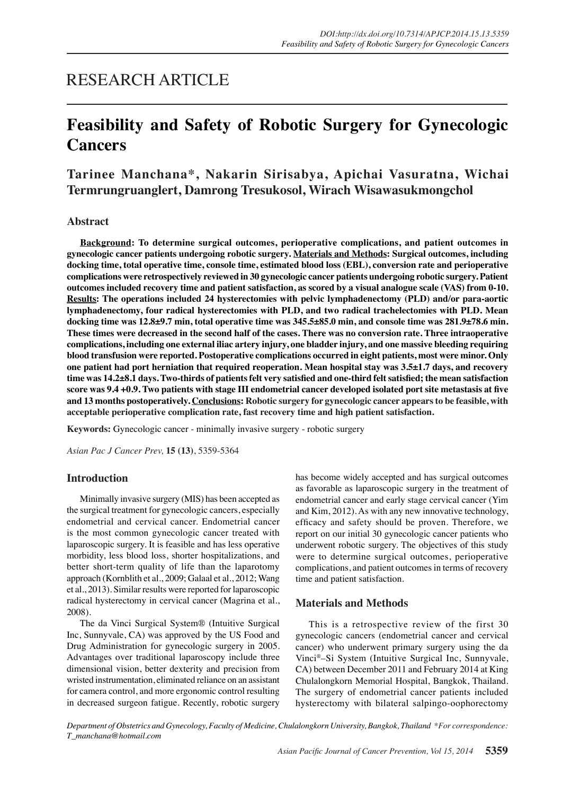## RESEARCH ARTICLE

# **Feasibility and Safety of Robotic Surgery for Gynecologic Cancers**

## **Tarinee Manchana\*, Nakarin Sirisabya, Apichai Vasuratna, Wichai Termrungruanglert, Damrong Tresukosol, Wirach Wisawasukmongchol**

## **Abstract**

**Background: To determine surgical outcomes, perioperative complications, and patient outcomes in gynecologic cancer patients undergoing robotic surgery. Materials and Methods: Surgical outcomes, including docking time, total operative time, console time, estimated blood loss (EBL), conversion rate and perioperative complications were retrospectively reviewed in 30 gynecologic cancer patients undergoing robotic surgery. Patient outcomes included recovery time and patient satisfaction, as scored by a visual analogue scale (VAS) from 0-10. Results: The operations included 24 hysterectomies with pelvic lymphadenectomy (PLD) and/or para-aortic lymphadenectomy, four radical hysterectomies with PLD, and two radical trachelectomies with PLD. Mean docking time was 12.8±9.7 min, total operative time was 345.5±85.0 min, and console time was 281.9±78.6 min. These times were decreased in the second half of the cases. There was no conversion rate. Three intraoperative complications, including one external iliac artery injury, one bladder injury, and one massive bleeding requiring blood transfusion were reported. Postoperative complications occurred in eight patients, most were minor. Only one patient had port herniation that required reoperation. Mean hospital stay was 3.5±1.7 days, and recovery time was 14.2±8.1 days. Two-thirds of patients felt very satisfied and one-third felt satisfied; the mean satisfaction score was 9.4 +0.9. Two patients with stage III endometrial cancer developed isolated port site metastasis at five and 13 months postoperatively. Conclusions: Robotic surgery for gynecologic cancer appears to be feasible, with acceptable perioperative complication rate, fast recovery time and high patient satisfaction.** 

**Keywords:** Gynecologic cancer - minimally invasive surgery - robotic surgery

*Asian Pac J Cancer Prev,* **15 (13)**, 5359-5364

## **Introduction**

Minimally invasive surgery (MIS) has been accepted as the surgical treatment for gynecologic cancers, especially endometrial and cervical cancer. Endometrial cancer is the most common gynecologic cancer treated with laparoscopic surgery. It is feasible and has less operative morbidity, less blood loss, shorter hospitalizations, and better short-term quality of life than the laparotomy approach (Kornblith et al., 2009; Galaal et al., 2012; Wang et al., 2013). Similar results were reported for laparoscopic radical hysterectomy in cervical cancer (Magrina et al., 2008).

The da Vinci Surgical System® (Intuitive Surgical Inc, Sunnyvale, CA) was approved by the US Food and Drug Administration for gynecologic surgery in 2005. Advantages over traditional laparoscopy include three dimensional vision, better dexterity and precision from wristed instrumentation, eliminated reliance on an assistant for camera control, and more ergonomic control resulting in decreased surgeon fatigue. Recently, robotic surgery

has become widely accepted and has surgical outcomes as favorable as laparoscopic surgery in the treatment of endometrial cancer and early stage cervical cancer (Yim and Kim, 2012). As with any new innovative technology, efficacy and safety should be proven. Therefore, we report on our initial 30 gynecologic cancer patients who underwent robotic surgery. The objectives of this study were to determine surgical outcomes, perioperative complications, and patient outcomes in terms of recovery time and patient satisfaction.

## **Materials and Methods**

This is a retrospective review of the first 30 gynecologic cancers (endometrial cancer and cervical cancer) who underwent primary surgery using the da Vinci®–Si System (Intuitive Surgical Inc, Sunnyvale, CA) between December 2011 and February 2014 at King Chulalongkorn Memorial Hospital, Bangkok, Thailand. The surgery of endometrial cancer patients included hysterectomy with bilateral salpingo-oophorectomy

*Department of Obstetrics and Gynecology, Faculty of Medicine, Chulalongkorn University, Bangkok, Thailand \*For correspondence: T\_manchana@hotmail.com*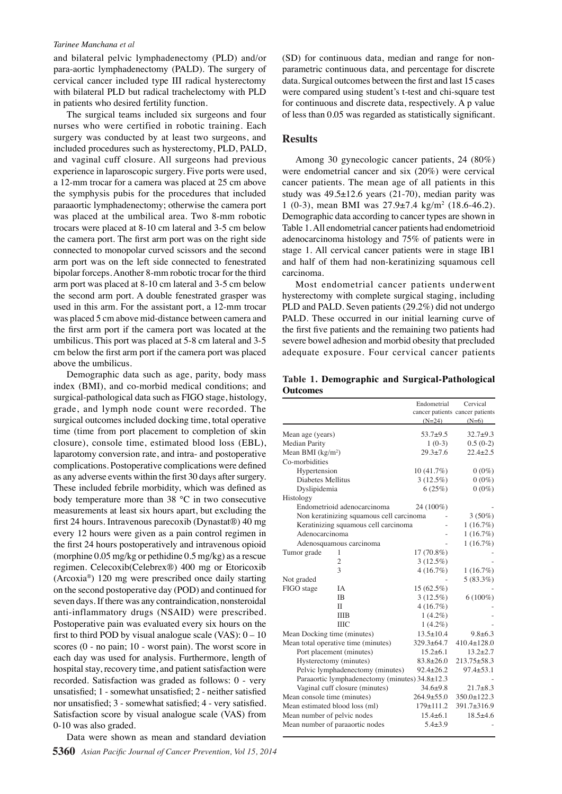#### *Tarinee Manchana et al*

and bilateral pelvic lymphadenectomy (PLD) and/or para-aortic lymphadenectomy (PALD). The surgery of cervical cancer included type III radical hysterectomy with bilateral PLD but radical trachelectomy with PLD in patients who desired fertility function.

The surgical teams included six surgeons and four nurses who were certified in robotic training. Each surgery was conducted by at least two surgeons, and included procedures such as hysterectomy, PLD, PALD, and vaginal cuff closure. All surgeons had previous experience in laparoscopic surgery. Five ports were used, a 12-mm trocar for a camera was placed at 25 cm above the symphysis pubis for the procedures that included paraaortic lymphadenectomy; otherwise the camera port was placed at the umbilical area. Two 8-mm robotic trocars were placed at 8-10 cm lateral and 3-5 cm below the camera port. The first arm port was on the right side connected to monopolar curved scissors and the second arm port was on the left side connected to fenestrated bipolar forceps. Another 8-mm robotic trocar for the third arm port was placed at 8-10 cm lateral and 3-5 cm below the second arm port. A double fenestrated grasper was used in this arm. For the assistant port, a 12-mm trocar was placed 5 cm above mid-distance between camera and the first arm port if the camera port was located at the umbilicus. This port was placed at 5-8 cm lateral and 3-5 cm below the first arm port if the camera port was placed above the umbilicus.

Demographic data such as age, parity, body mass index (BMI), and co-morbid medical conditions; and surgical-pathological data such as FIGO stage, histology, grade, and lymph node count were recorded. The surgical outcomes included docking time, total operative time (time from port placement to completion of skin closure), console time, estimated blood loss (EBL), laparotomy conversion rate, and intra- and postoperative complications. Postoperative complications were defined as any adverse events within the first 30 days after surgery. These included febrile morbidity, which was defined as body temperature more than 38 °C in two consecutive measurements at least six hours apart, but excluding the first 24 hours. Intravenous parecoxib (Dynastat®) 40 mg every 12 hours were given as a pain control regimen in the first 24 hours postoperatively and intravenous opioid (morphine 0.05 mg/kg or pethidine 0.5 mg/kg) as a rescue regimen. Celecoxib(Celebrex®) 400 mg or Etoricoxib (Arcoxia®) 120 mg were prescribed once daily starting on the second postoperative day (POD) and continued for seven days. If there was any contraindication, nonsteroidal anti-inflammatory drugs (NSAID) were prescribed. Postoperative pain was evaluated every six hours on the first to third POD by visual analogue scale  $(VAS): 0 - 10$ scores (0 - no pain; 10 - worst pain). The worst score in each day was used for analysis. Furthermore, length of hospital stay, recovery time, and patient satisfaction were recorded. Satisfaction was graded as follows: 0 - very unsatisfied; 1 - somewhat unsatisfied; 2 - neither satisfied nor unsatisfied; 3 - somewhat satisfied; 4 - very satisfied. Satisfaction score by visual analogue scale (VAS) from 0-10 was also graded.

**5360** *Asian Pacific Journal of Cancer Prevention, Vol 15, 2014* Data were shown as mean and standard deviation

(SD) for continuous data, median and range for nonparametric continuous data, and percentage for discrete data. Surgical outcomes between the first and last 15 cases were compared using student's t-test and chi-square test for continuous and discrete data, respectively. A p value of less than 0.05 was regarded as statistically significant.

## **Results**

Among 30 gynecologic cancer patients, 24 (80%) were endometrial cancer and six (20%) were cervical cancer patients. The mean age of all patients in this study was  $49.5 \pm 12.6$  years (21-70), median parity was 1 (0-3), mean BMI was 27.9±7.4 kg/m2 (18.6-46.2). Demographic data according to cancer types are shown in Table 1. All endometrial cancer patients had endometrioid adenocarcinoma histology and 75% of patients were in stage 1. All cervical cancer patients were in stage IB1 and half of them had non-keratinizing squamous cell carcinoma.

Most endometrial cancer patients underwent hysterectomy with complete surgical staging, including PLD and PALD. Seven patients (29.2%) did not undergo PALD. These occurred in our initial learning curve of the first five patients and the remaining two patients had severe bowel adhesion and morbid obesity that precluded adequate exposure. Four cervical cancer patients

**Table 1. Demographic and Surgical-Pathological Outcomes**

|                                     |                                                      | Endometrial      | Cervical                        |
|-------------------------------------|------------------------------------------------------|------------------|---------------------------------|
|                                     |                                                      |                  | cancer patients cancer patients |
|                                     |                                                      | $(N=24)$         | $(N=6)$                         |
| Mean age (years)                    |                                                      | $53.7 + 9.5$     | $32.7 + 9.3$                    |
| <b>Median Parity</b>                |                                                      | $1(0-3)$         | $0.5(0-2)$                      |
| Mean BMI $(kg/m2)$                  |                                                      | $29.3 + 7.6$     | $22.4 + 2.5$                    |
| Co-morbidities                      |                                                      |                  |                                 |
| Hypertension                        |                                                      | 10(41.7%)        | $0(0\%)$                        |
| Diabetes Mellitus                   |                                                      | 3(12.5%)         | $0(0\%)$                        |
| Dyslipidemia                        |                                                      | 6(25%)           | $0(0\%)$                        |
| Histology                           |                                                      |                  |                                 |
|                                     | Endometrioid adenocarcinoma                          | 24 (100%)        |                                 |
|                                     | Non keratinizing squamous cell carcinoma             |                  | $3(50\%)$                       |
|                                     | Keratinizing squamous cell carcinoma                 |                  | 1(16.7%)                        |
| Adenocarcinoma                      |                                                      |                  | 1(16.7%)                        |
|                                     | Adenosquamous carcinoma                              |                  | 1(16.7%)                        |
| Tumor grade                         | 1                                                    | 17 (70.8%)       |                                 |
|                                     | 2                                                    | $3(12.5\%)$      |                                 |
|                                     | 3                                                    | 4(16.7%)         | 1(16.7%)                        |
| Not graded                          |                                                      |                  | $5(83.3\%)$                     |
| FIGO stage                          | IA                                                   | $15(62.5\%)$     |                                 |
|                                     | <b>IB</b>                                            | $3(12.5\%)$      | $6(100\%)$                      |
|                                     | $\mathbf{I}$                                         | 4(16.7%)         |                                 |
|                                     | <b>IIIB</b>                                          | $1(4.2\%)$       |                                 |
|                                     | ШC                                                   | $1(4.2\%)$       |                                 |
| Mean Docking time (minutes)         |                                                      | $13.5 \pm 10.4$  | $9.8 + 6.3$                     |
| Mean total operative time (minutes) |                                                      | $329.3 + 64.7$   | $410.4 \pm 128.0$               |
| Port placement (minutes)            |                                                      | $15.2 + 6.1$     | $13.2 \pm 2.7$                  |
| Hysterectomy (minutes)              |                                                      | $83.8 + 26.0$    | $213.75 \pm 58.3$               |
| Pelvic lymphadenectomy (minutes)    |                                                      | $92.4 \pm 26.2$  | $97.4 \pm 53.1$                 |
|                                     | Paraaortic lymphadenectomy (minutes) $34.8 \pm 12.3$ |                  |                                 |
|                                     | Vaginal cuff closure (minutes)                       | $34.6 + 9.8$     | $21.7 + 8.3$                    |
| Mean console time (minutes)         |                                                      | $264.9 \pm 55.0$ | $350.0 \pm 122.3$               |
| Mean estimated blood loss (ml)      |                                                      | $179 \pm 111.2$  | $391.7 \pm 316.9$               |
| Mean number of pelvic nodes         |                                                      | $15.4 + 6.1$     | $18.5 + 4.6$                    |
|                                     | Mean number of paraaortic nodes                      | $5.4 + 3.9$      |                                 |
|                                     |                                                      |                  |                                 |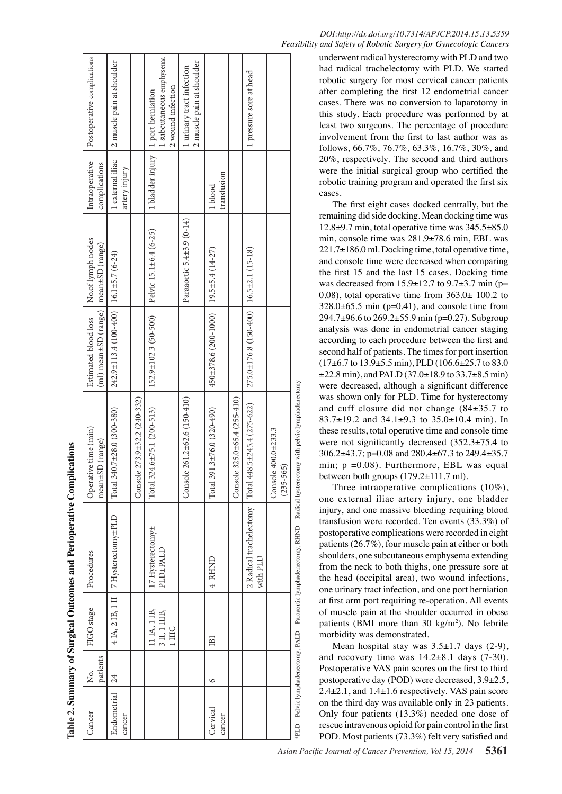| Cancer             | ż.              | FIGO stage              | Procedures                                  | Operative time (min)                                                                                                      | Estimated blood loss                                 | No.of lymph nodes         | Intraoperative                     | Postoperative complications                            |
|--------------------|-----------------|-------------------------|---------------------------------------------|---------------------------------------------------------------------------------------------------------------------------|------------------------------------------------------|---------------------------|------------------------------------|--------------------------------------------------------|
|                    | patients        |                         |                                             | mean±SD (range)                                                                                                           | (ml) mean±SD (range)   mean±SD (range)               |                           | complications                      |                                                        |
| Endometrial        | $\overline{24}$ |                         | 4 IA, 2 IB, 1 II   7 Hysterectomy±PLD       | $.340.7 \pm 28.0 (300 - 380)$<br>Total                                                                                    | $242.9 \pm 113.4$ (100-400) 16.1±5.7 (6-24)          |                           | 1 external iliac                   | 2 muscle pain at shoulder                              |
| cancer             |                 |                         |                                             |                                                                                                                           |                                                      |                           | artery injury                      |                                                        |
|                    |                 |                         |                                             | Console $273.9 \pm 32.2$ ( $240-332$ )                                                                                    |                                                      |                           |                                    |                                                        |
|                    |                 | 11 IA, 1 IB,            | 17 Hysterectomy±                            | $.324.6 \pm 75.1 (200 - 513)$<br>Total                                                                                    | $152.9 \pm 102.3$ (50-500)                           | Pelvic 15.1±6.4 (6-25)    | 1 bladder injury 1 port herniation |                                                        |
|                    |                 | 3 II, 1 IIIB,<br>1 IIIC | <b>PLD±PALD</b>                             |                                                                                                                           |                                                      |                           |                                    | subcutaneous emphysema<br>2 wound infection            |
|                    |                 |                         |                                             | Console 261.2±62.6 (150-410)                                                                                              |                                                      | Paraaortic 5.4±3.9 (0-14) |                                    | 2 muscle pain at shoulder<br>1 urinary tract infection |
| Cervical<br>cancer | $\circ$         | $\Xi$                   | 4 RHND                                      | $391.3 \pm 76.0 (320 - 490)$<br>Total                                                                                     | $450\pm378.6$ (200-1000)   19.5 $\pm$ 5.4 (14-27)    |                           | transfusion<br>1 blood             |                                                        |
|                    |                 |                         |                                             | Console $325.0 \pm 65.4 (255 - 410)$                                                                                      |                                                      |                           |                                    |                                                        |
|                    |                 |                         | 2 Radical trachelectomy   Total<br>with PLD | $448.5 \pm 245.4 (275 - 622)$                                                                                             | $275.0 \pm 176.8$ (150-400)   16.5 $\pm 2.1$ (15-18) |                           |                                    | 1 pressure sore at head                                |
|                    |                 |                         |                                             | Console $400.0 \pm 233.3$<br>$(235 - 565)$                                                                                |                                                      |                           |                                    |                                                        |
|                    |                 |                         |                                             | PELD – Pelvic lymphadenectomy, PALD – Paraaortic lymphadenectomy, RHND – Radical hysterectomy with pelvic lymphadenectomy |                                                      |                           |                                    |                                                        |

Table 2. Summary of Surgical Outcomes and Perioperative Complications

**. Summary of Surgical Outcomes and Perioperative Complications**

|  | DOI:http://dx.doi.org/10.7314/APJCP.2014.15.13.5359               |  |
|--|-------------------------------------------------------------------|--|
|  | Feasibility and Safety of Robotic Surgery for Gynecologic Cancers |  |

underwent radical hysterectomy with PLD and two had radical trachelectomy with PLD. We started robotic surgery for most cervical cancer patients after completing the first 12 endometrial cancer cases. There was no conversion to laparotomy in this study. Each procedure was performed by at least two surgeons. The percentage of procedure involvement from the first to last author was as follows, 66.7%, 76.7%, 63.3%, 16.7%, 30%, and 20%, respectively. The second and third authors were the initial surgical group who certified the robotic training program and operated the first six cases.

The first eight cases docked centrally, but the remaining did side docking. Mean docking time was  $12.8\pm9.7$  min, total operative time was  $345.5\pm85.0$ min, console time was 281.9±78.6 min, EBL was 221.7±186.0 ml. Docking time, total operative time, and console time were decreased when comparing the first 15 and the last 15 cases. Docking time was decreased from  $15.9\pm12.7$  to  $9.7\pm3.7$  min (p= 0.08), total operative time from  $363.0 \pm 100.2$  to  $328.0\pm 65.5$  min (p=0.41), and console time from 294.7±96.6 to 269.2±55.9 min (p=0.27). Subgroup analysis was done in endometrial cancer staging according to each procedure between the first and second half of patients. The times for port insertion  $(17\pm6.7 \text{ to } 13.9\pm5.5 \text{ min})$ , PLD  $(106.6\pm25.7 \text{ to } 83.0 \text{ s})$  $\pm$ 22.8 min), and PALD (37.0 $\pm$ 18.9 to 33.7 $\pm$ 8.5 min) were decreased, although a significant difference was shown only for PLD. Time for hysterectomy and cuff closure did not change (84±35.7 to 83.7±19.2 and 34.1±9.3 to 35.0±10.4 min). In these results, total operative time and console time were not significantly decreased (352.3±75.4 to 306.2±43.7; p=0.08 and 280.4±67.3 to 249.4±35.7 min;  $p = 0.08$ . Furthermore, EBL was equal between both groups (179.2±111.7 ml).

Three intraoperative complications (10%), one external iliac artery injury, one bladder injury, and one massive bleeding requiring blood transfusion were recorded. Ten events (33.3%) of postoperative complications were recorded in eight patients (26.7%), four muscle pain at either or both shoulders, one subcutaneous emphysema extending from the neck to both thighs, one pressure sore at the head (occipital area), two wound infections, one urinary tract infection, and one port herniation at first arm port requiring re-operation. All events of muscle pain at the shoulder occurred in obese patients (BMI more than 30 kg/m 2 ). No febrile morbidity was demonstrated.

Mean hospital stay was  $3.5\pm1.7$  days (2-9), and recovery time was  $14.2\pm8.1$  days  $(7-30)$ . Postoperative VAS pain scores on the first to third postoperative day (POD) were decreased, 3.9±2.5, 2.4±2.1, and 1.4±1.6 respectively. VAS pain score on the third day was available only in 23 patients. Only four patients (13.3%) needed one dose of rescue intravenous opioid for pain control in the first POD. Most patients (73.3%) felt very satisfied and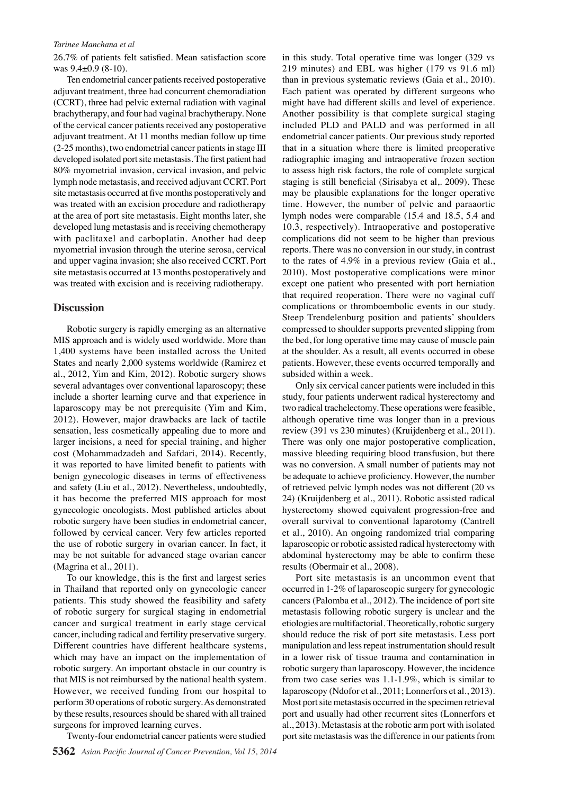#### *Tarinee Manchana et al*

26.7% of patients felt satisfied. Mean satisfaction score was 9.4±0.9 (8-10).

Ten endometrial cancer patients received postoperative adjuvant treatment, three had concurrent chemoradiation (CCRT), three had pelvic external radiation with vaginal brachytherapy, and four had vaginal brachytherapy. None of the cervical cancer patients received any postoperative adjuvant treatment. At 11 months median follow up time (2-25 months), two endometrial cancer patients in stage III developed isolated port site metastasis. The first patient had 80% myometrial invasion, cervical invasion, and pelvic lymph node metastasis, and received adjuvant CCRT. Port site metastasis occurred at five months postoperatively and was treated with an excision procedure and radiotherapy at the area of port site metastasis. Eight months later, she developed lung metastasis and is receiving chemotherapy with paclitaxel and carboplatin. Another had deep myometrial invasion through the uterine serosa, cervical and upper vagina invasion; she also received CCRT. Port site metastasis occurred at 13 months postoperatively and was treated with excision and is receiving radiotherapy.

## **Discussion**

Robotic surgery is rapidly emerging as an alternative MIS approach and is widely used worldwide. More than 1,400 systems have been installed across the United States and nearly 2,000 systems worldwide (Ramirez et al., 2012, Yim and Kim, 2012). Robotic surgery shows several advantages over conventional laparoscopy; these include a shorter learning curve and that experience in laparoscopy may be not prerequisite (Yim and Kim, 2012). However, major drawbacks are lack of tactile sensation, less cosmetically appealing due to more and larger incisions, a need for special training, and higher cost (Mohammadzadeh and Safdari, 2014). Recently, it was reported to have limited benefit to patients with benign gynecologic diseases in terms of effectiveness and safety (Liu et al., 2012). Nevertheless, undoubtedly, it has become the preferred MIS approach for most gynecologic oncologists. Most published articles about robotic surgery have been studies in endometrial cancer, followed by cervical cancer. Very few articles reported the use of robotic surgery in ovarian cancer. In fact, it may be not suitable for advanced stage ovarian cancer (Magrina et al., 2011).

To our knowledge, this is the first and largest series in Thailand that reported only on gynecologic cancer patients. This study showed the feasibility and safety of robotic surgery for surgical staging in endometrial cancer and surgical treatment in early stage cervical cancer, including radical and fertility preservative surgery. Different countries have different healthcare systems, which may have an impact on the implementation of robotic surgery. An important obstacle in our country is that MIS is not reimbursed by the national health system. However, we received funding from our hospital to perform 30 operations of robotic surgery. As demonstrated by these results, resources should be shared with all trained surgeons for improved learning curves.

Twenty-four endometrial cancer patients were studied

in this study. Total operative time was longer (329 vs 219 minutes) and EBL was higher (179 vs 91.6 ml) than in previous systematic reviews (Gaia et al., 2010). Each patient was operated by different surgeons who might have had different skills and level of experience. Another possibility is that complete surgical staging included PLD and PALD and was performed in all endometrial cancer patients. Our previous study reported that in a situation where there is limited preoperative radiographic imaging and intraoperative frozen section to assess high risk factors, the role of complete surgical staging is still beneficial (Sirisabya et al,. 2009). These may be plausible explanations for the longer operative time. However, the number of pelvic and paraaortic lymph nodes were comparable (15.4 and 18.5, 5.4 and 10.3, respectively). Intraoperative and postoperative complications did not seem to be higher than previous reports. There was no conversion in our study, in contrast to the rates of 4.9% in a previous review (Gaia et al., 2010). Most postoperative complications were minor except one patient who presented with port herniation that required reoperation. There were no vaginal cuff complications or thromboembolic events in our study. Steep Trendelenburg position and patients' shoulders compressed to shoulder supports prevented slipping from the bed, for long operative time may cause of muscle pain at the shoulder. As a result, all events occurred in obese patients. However, these events occurred temporally and subsided within a week.

Only six cervical cancer patients were included in this study, four patients underwent radical hysterectomy and two radical trachelectomy. These operations were feasible, although operative time was longer than in a previous review (391 vs 230 minutes) (Kruijdenberg et al., 2011). There was only one major postoperative complication, massive bleeding requiring blood transfusion, but there was no conversion. A small number of patients may not be adequate to achieve proficiency. However, the number of retrieved pelvic lymph nodes was not different (20 vs 24) (Kruijdenberg et al., 2011). Robotic assisted radical hysterectomy showed equivalent progression-free and overall survival to conventional laparotomy (Cantrell et al., 2010). An ongoing randomized trial comparing laparoscopic or robotic assisted radical hysterectomy with abdominal hysterectomy may be able to confirm these results (Obermair et al., 2008).

Port site metastasis is an uncommon event that occurred in 1-2% of laparoscopic surgery for gynecologic cancers (Palomba et al., 2012). The incidence of port site metastasis following robotic surgery is unclear and the etiologies are multifactorial. Theoretically, robotic surgery should reduce the risk of port site metastasis. Less port manipulation and less repeat instrumentation should result in a lower risk of tissue trauma and contamination in robotic surgery than laparoscopy. However, the incidence from two case series was 1.1-1.9%, which is similar to laparoscopy (Ndofor et al., 2011; Lonnerfors et al., 2013). Most port site metastasis occurred in the specimen retrieval port and usually had other recurrent sites (Lonnerfors et al., 2013). Metastasis at the robotic arm port with isolated port site metastasis was the difference in our patients from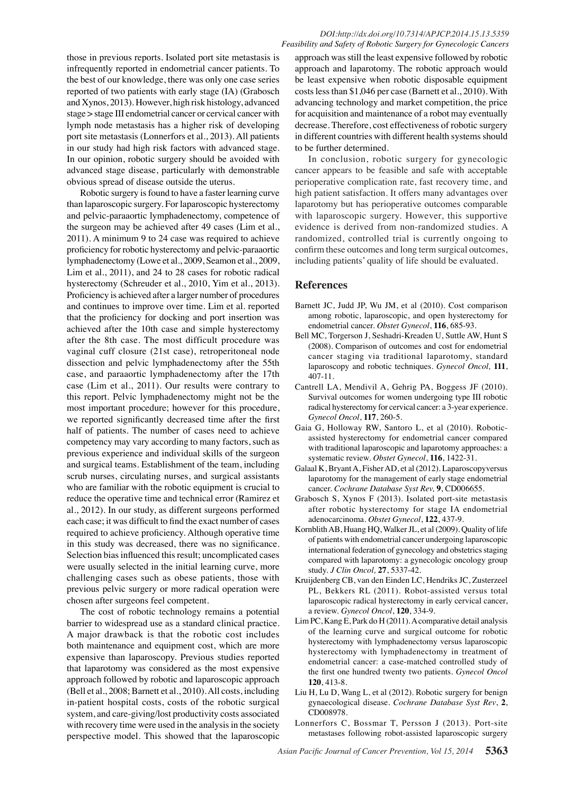those in previous reports. Isolated port site metastasis is infrequently reported in endometrial cancer patients. To the best of our knowledge, there was only one case series reported of two patients with early stage (IA) (Grabosch and Xynos, 2013). However, high risk histology, advanced stage > stage III endometrial cancer or cervical cancer with lymph node metastasis has a higher risk of developing port site metastasis (Lonnerfors et al., 2013). All patients in our study had high risk factors with advanced stage. In our opinion, robotic surgery should be avoided with advanced stage disease, particularly with demonstrable obvious spread of disease outside the uterus.

Robotic surgery is found to have a faster learning curve than laparoscopic surgery. For laparoscopic hysterectomy and pelvic-paraaortic lymphadenectomy, competence of the surgeon may be achieved after 49 cases (Lim et al., 2011). A minimum 9 to 24 case was required to achieve proficiency for robotic hysterectomy and pelvic-paraaortic lymphadenectomy (Lowe et al., 2009, Seamon et al., 2009, Lim et al., 2011), and 24 to 28 cases for robotic radical hysterectomy (Schreuder et al., 2010, Yim et al., 2013). Proficiency is achieved after a larger number of procedures and continues to improve over time. Lim et al. reported that the proficiency for docking and port insertion was achieved after the 10th case and simple hysterectomy after the 8th case. The most difficult procedure was vaginal cuff closure (21st case), retroperitoneal node dissection and pelvic lymphadenectomy after the 55th case, and paraaortic lymphadenectomy after the 17th case (Lim et al., 2011). Our results were contrary to this report. Pelvic lymphadenectomy might not be the most important procedure; however for this procedure, we reported significantly decreased time after the first half of patients. The number of cases need to achieve competency may vary according to many factors, such as previous experience and individual skills of the surgeon and surgical teams. Establishment of the team, including scrub nurses, circulating nurses, and surgical assistants who are familiar with the robotic equipment is crucial to reduce the operative time and technical error (Ramirez et al., 2012). In our study, as different surgeons performed each case; it was difficult to find the exact number of cases required to achieve proficiency. Although operative time in this study was decreased, there was no significance. Selection bias influenced this result; uncomplicated cases were usually selected in the initial learning curve, more challenging cases such as obese patients, those with previous pelvic surgery or more radical operation were chosen after surgeons feel competent.

The cost of robotic technology remains a potential barrier to widespread use as a standard clinical practice. A major drawback is that the robotic cost includes both maintenance and equipment cost, which are more expensive than laparoscopy. Previous studies reported that laparotomy was considered as the most expensive approach followed by robotic and laparoscopic approach (Bell et al., 2008; Barnett et al., 2010). All costs, including in-patient hospital costs, costs of the robotic surgical system, and care-giving/lost productivity costs associated with recovery time were used in the analysis in the society perspective model. This showed that the laparoscopic

approach was still the least expensive followed by robotic approach and laparotomy. The robotic approach would be least expensive when robotic disposable equipment costs less than \$1,046 per case (Barnett et al., 2010). With advancing technology and market competition, the price for acquisition and maintenance of a robot may eventually decrease. Therefore, cost effectiveness of robotic surgery in different countries with different health systems should to be further determined.

In conclusion, robotic surgery for gynecologic cancer appears to be feasible and safe with acceptable perioperative complication rate, fast recovery time, and high patient satisfaction. It offers many advantages over laparotomy but has perioperative outcomes comparable with laparoscopic surgery. However, this supportive evidence is derived from non-randomized studies. A randomized, controlled trial is currently ongoing to confirm these outcomes and long term surgical outcomes, including patients' quality of life should be evaluated.

## **References**

- Barnett JC, Judd JP, Wu JM, et al (2010). Cost comparison among robotic, laparoscopic, and open hysterectomy for endometrial cancer. *Obstet Gynecol*, **116**, 685-93.
- Bell MC, Torgerson J, Seshadri-Kreaden U, Suttle AW, Hunt S (2008). Comparison of outcomes and cost for endometrial cancer staging via traditional laparotomy, standard laparoscopy and robotic techniques. *Gynecol Oncol,* **111**, 407-11.
- Cantrell LA, Mendivil A, Gehrig PA, Boggess JF (2010). Survival outcomes for women undergoing type III robotic radical hysterectomy for cervical cancer: a 3-year experience. *Gynecol Oncol*, **117**, 260-5.
- Gaia G, Holloway RW, Santoro L, et al (2010). Roboticassisted hysterectomy for endometrial cancer compared with traditional laparoscopic and laparotomy approaches: a systematic review. *Obstet Gynecol*, **116**, 1422-31.
- Galaal K, Bryant A, Fisher AD, et al (2012). Laparoscopyversus laparotomy for the management of early stage endometrial cancer. *Cochrane Database Syst Rev,* **9**, CD006655.
- Grabosch S, Xynos F (2013). Isolated port-site metastasis after robotic hysterectomy for stage IA endometrial adenocarcinoma. *Obstet Gynecol*, **122**, 437-9.
- Kornblith AB, Huang HQ, Walker JL, et al (2009). Quality of life of patients with endometrial cancer undergoing laparoscopic international federation of gynecology and obstetrics staging compared with laparotomy: a gynecologic oncology group study. *J Clin Oncol,* **27**, 5337-42.
- Kruijdenberg CB, van den Einden LC, Hendriks JC, Zusterzeel PL, Bekkers RL (2011). Robot-assisted versus total laparoscopic radical hysterectomy in early cervical cancer, a review. *Gynecol Oncol*, **120**, 334-9.
- Lim PC, Kang E, Park do H (2011). A comparative detail analysis of the learning curve and surgical outcome for robotic hysterectomy with lymphadenectomy versus laparoscopic hysterectomy with lymphadenectomy in treatment of endometrial cancer: a case-matched controlled study of the first one hundred twenty two patients. *Gynecol Oncol*  **120**, 413-8.
- Liu H, Lu D, Wang L, et al (2012). Robotic surgery for benign gynaecological disease. *Cochrane Database Syst Rev*, **2**, CD008978.
- Lonnerfors C, Bossmar T, Persson J (2013). Port-site metastases following robot-assisted laparoscopic surgery